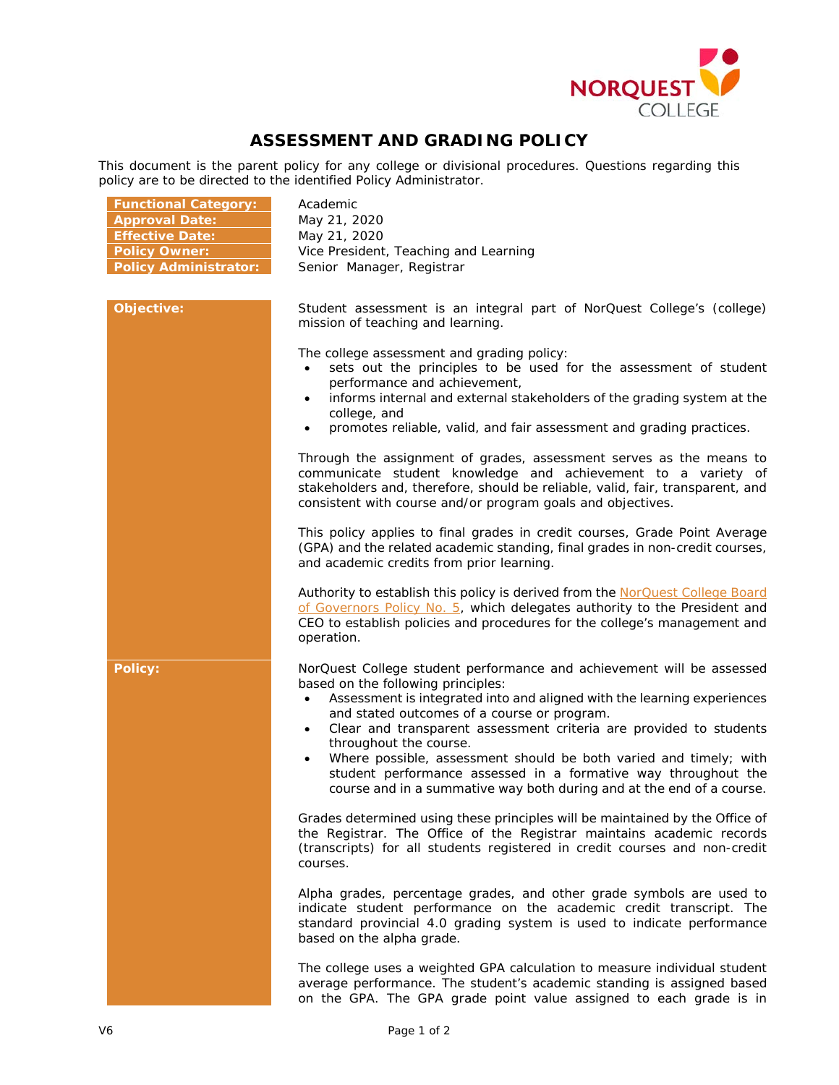

## **ASSESSMENT AND GRADING POLICY**

This document is the parent policy for any college or divisional procedures. Questions regarding this policy are to be directed to the identified Policy Administrator.

| <b>Functional Category:</b><br><b>Approval Date:</b><br><b>Effective Date:</b><br><b>Policy Owner:</b><br><b>Policy Administrator:</b> | Academic<br>May 21, 2020<br>May 21, 2020<br>Vice President, Teaching and Learning<br>Senior Manager, Registrar                                                                                                                                                                                                                                                                                                                                                                                                                                                     |
|----------------------------------------------------------------------------------------------------------------------------------------|--------------------------------------------------------------------------------------------------------------------------------------------------------------------------------------------------------------------------------------------------------------------------------------------------------------------------------------------------------------------------------------------------------------------------------------------------------------------------------------------------------------------------------------------------------------------|
| Objective:                                                                                                                             | Student assessment is an integral part of NorQuest College's (college)<br>mission of teaching and learning.                                                                                                                                                                                                                                                                                                                                                                                                                                                        |
|                                                                                                                                        | The college assessment and grading policy:<br>sets out the principles to be used for the assessment of student<br>performance and achievement,<br>informs internal and external stakeholders of the grading system at the<br>college, and<br>promotes reliable, valid, and fair assessment and grading practices.                                                                                                                                                                                                                                                  |
|                                                                                                                                        | Through the assignment of grades, assessment serves as the means to<br>communicate student knowledge and achievement to a variety of<br>stakeholders and, therefore, should be reliable, valid, fair, transparent, and<br>consistent with course and/or program goals and objectives.                                                                                                                                                                                                                                                                              |
|                                                                                                                                        | This policy applies to final grades in credit courses, Grade Point Average<br>(GPA) and the related academic standing, final grades in non-credit courses,<br>and academic credits from prior learning.                                                                                                                                                                                                                                                                                                                                                            |
|                                                                                                                                        | Authority to establish this policy is derived from the NorQuest College Board<br>of Governors Policy No. 5, which delegates authority to the President and<br>CEO to establish policies and procedures for the college's management and<br>operation.                                                                                                                                                                                                                                                                                                              |
| <b>Policy:</b>                                                                                                                         | NorQuest College student performance and achievement will be assessed<br>based on the following principles:<br>Assessment is integrated into and aligned with the learning experiences<br>$\bullet$<br>and stated outcomes of a course or program.<br>Clear and transparent assessment criteria are provided to students<br>throughout the course.<br>Where possible, assessment should be both varied and timely; with<br>student performance assessed in a formative way throughout the<br>course and in a summative way both during and at the end of a course. |
|                                                                                                                                        | Grades determined using these principles will be maintained by the Office of<br>the Registrar. The Office of the Registrar maintains academic records<br>(transcripts) for all students registered in credit courses and non-credit<br>courses.                                                                                                                                                                                                                                                                                                                    |
|                                                                                                                                        | Alpha grades, percentage grades, and other grade symbols are used to<br>indicate student performance on the academic credit transcript. The<br>standard provincial 4.0 grading system is used to indicate performance<br>based on the alpha grade.                                                                                                                                                                                                                                                                                                                 |
|                                                                                                                                        | The college uses a weighted GPA calculation to measure individual student<br>average performance. The student's academic standing is assigned based<br>on the GPA. The GPA grade point value assigned to each grade is in                                                                                                                                                                                                                                                                                                                                          |